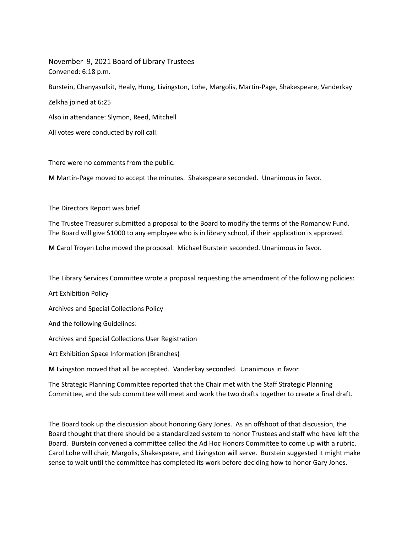November 9, 2021 Board of Library Trustees Convened: 6:18 p.m. Burstein, Chanyasulkit, Healy, Hung, Livingston, Lohe, Margolis, Martin-Page, Shakespeare, Vanderkay Zelkha joined at 6:25 Also in attendance: Slymon, Reed, Mitchell All votes were conducted by roll call.

There were no comments from the public.

**!** Martin-Page moved to accept the minutes. Shakespeare seconded. Unanimous in favor.

The Directors Report was brief.

The Trustee Treasurer submitted a proposal to the Board to modify the terms of the Romanow Fund. The Board will give \$1000 to any employee who is in library school, if their application is approved.

**! C**arol Troyen Lohe moved the proposal. Michael Burstein seconded. Unanimous in favor.

The Library Services Committee wrote a proposal requesting the amendment of the following policies:

Art Exhibition Policy

Archives and Special Collections Policy

And the following Guidelines:

Archives and Special Collections User Registration

Art Exhibition Space Information (Branches)

**!** Lvingston moved that all be accepted. Vanderkay seconded. Unanimous in favor.

The Strategic Planning Committee reported that the Chair met with the Staff Strategic Planning Committee, and the sub committee will meet and work the two drafts together to create a final draft.

The Board took up the discussion about honoring Gary Jones. As an offshoot of that discussion, the Board thought that there should be a standardized system to honor Trustees and staff who have left the Board. Burstein convened a committee called the Ad Hoc Honors Committee to come up with a rubric. Carol Lohe will chair, Margolis, Shakespeare, and Livingston will serve. Burstein suggested it might make sense to wait until the committee has completed its work before deciding how to honor Gary Jones.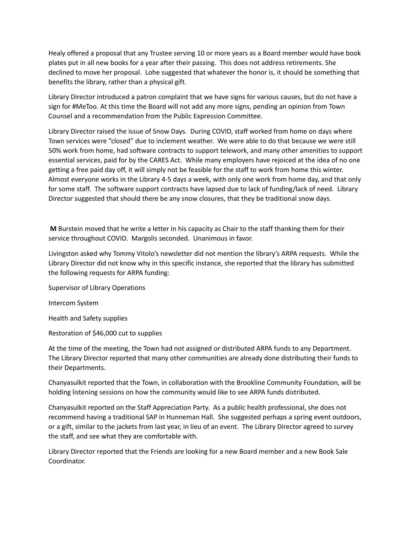Healy offered a proposal that any Trustee serving 10 or more years as a Board member would have book plates put in all new books for a year after their passing. This does not address retirements. She declined to move her proposal. Lohe suggested that whatever the honor is, it should be something that benefits the library, rather than a physical gift.

Library Director introduced a patron complaint that we have signs for various causes, but do not have a sign for #MeToo. At this time the Board will not add any more signs, pending an opinion from Town Counsel and a recommendation from the Public Expression Committee.

Library Director raised the issue of Snow Days. During COVID, staff worked from home on days where Town services were "closed" due to inclement weather. We were able to do that because we were still Æ0Ú work from home, had software contracts to support telework, and many other amenities to support essential services, paid for by the CARES Act. While many employers have rejoiced at the idea of no one getting a free paid day off, it will simply not be feasible for the staff to work from home this winter. Almost everyone works in the Library 4-5 days a week, with only one work from home day, and that only for some staff. The software support contracts have lapsed due to lack of funding/lack of need. Library Director suggested that should there be any snow closures, that they be traditional snow days.

**M** Burstein moved that he write a letter in his capacity as Chair to the staff thanking them for their service throughout COVID. Margolis seconded. Unanimous in favor.

Livingston asked why Tommy Vitolo's newsletter did not mention the library's ARPA requests. While the Library Director did not know why in this specific instance, she reported that the library has submitted the following requests for ARPA funding:

Supervisor of Library Operations

Intercom System

Health and Safety supplies

Restoration of \$46,000 cut to supplies

At the time of the meeting, the Town had not assigned or distributed ARPA funds to any Department. The Library Director reported that many other communities are already done distributing their funds to their Departments.

Chanyasulkit reported that the Town, in collaboration with the Brookline Community Foundation, will be holding listening sessions on how the community would like to see ARPA funds distributed.

Chanyasulkit reported on the Staff Appreciation Party. As a public health professional, she does not recommend having a traditional SAP in Hunneman Hall. She suggested perhaps a spring event outdoors, or a gift, similar to the jackets from last year, in lieu of an event. The Library Director agreed to survey the staff, and see what they are comfortable with.

Library Director reported that the Friends are looking for a new Board member and a new Book Sale Coordinator.